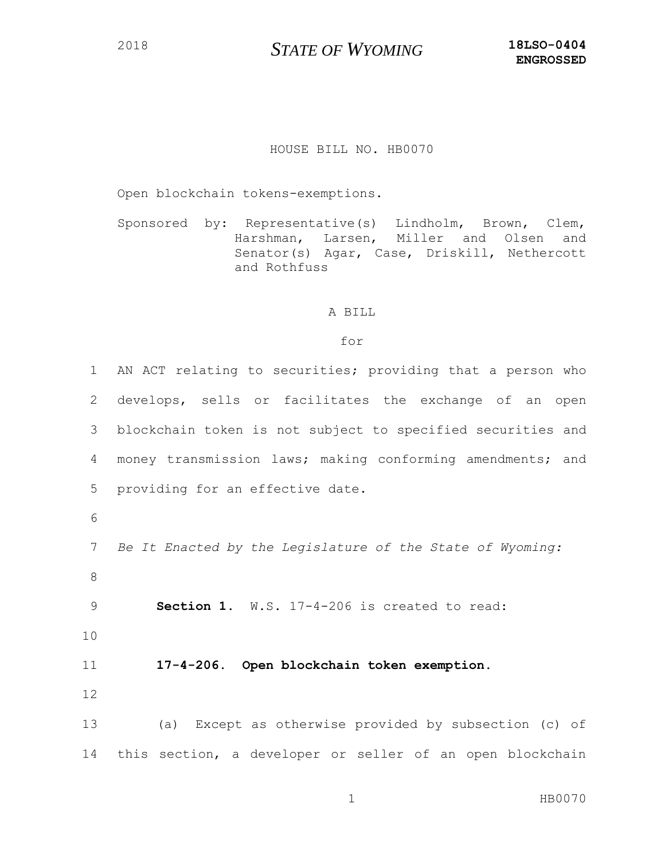## HOUSE BILL NO. HB0070

Open blockchain tokens-exemptions.

Sponsored by: Representative(s) Lindholm, Brown, Clem, Harshman, Larsen, Miller and Olsen and Senator(s) Agar, Case, Driskill, Nethercott and Rothfuss

## A BILL

## for

 AN ACT relating to securities; providing that a person who develops, sells or facilitates the exchange of an open blockchain token is not subject to specified securities and money transmission laws; making conforming amendments; and providing for an effective date. 6 *Be It Enacted by the Legislature of the State of Wyoming:* 8 **Section 1**. W.S. 17-4-206 is created to read: 10 **17-4-206. Open blockchain token exemption.** 12 (a) Except as otherwise provided by subsection (c) of this section, a developer or seller of an open blockchain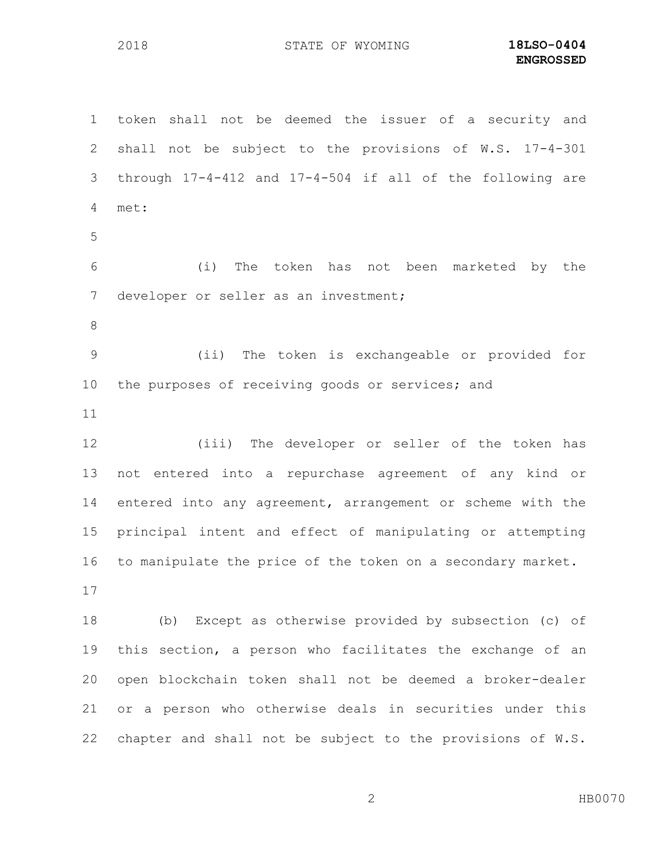token shall not be deemed the issuer of a security and shall not be subject to the provisions of W.S. 17-4-301 through 17-4-412 and 17-4-504 if all of the following are met: (i) The token has not been marketed by the developer or seller as an investment; (ii) The token is exchangeable or provided for the purposes of receiving goods or services; and (iii) The developer or seller of the token has not entered into a repurchase agreement of any kind or entered into any agreement, arrangement or scheme with the principal intent and effect of manipulating or attempting to manipulate the price of the token on a secondary market. (b) Except as otherwise provided by subsection (c) of this section, a person who facilitates the exchange of an open blockchain token shall not be deemed a broker-dealer or a person who otherwise deals in securities under this chapter and shall not be subject to the provisions of W.S.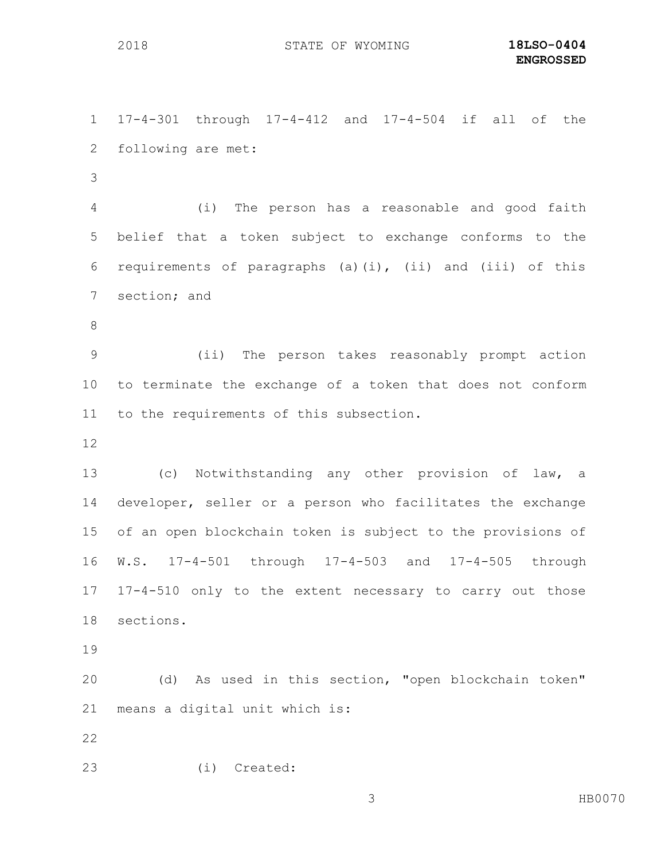17-4-301 through 17-4-412 and 17-4-504 if all of the following are met:

 (i) The person has a reasonable and good faith belief that a token subject to exchange conforms to the requirements of paragraphs (a)(i), (ii) and (iii) of this section; and

 (ii) The person takes reasonably prompt action to terminate the exchange of a token that does not conform to the requirements of this subsection.

 (c) Notwithstanding any other provision of law, a developer, seller or a person who facilitates the exchange of an open blockchain token is subject to the provisions of W.S. 17-4-501 through 17-4-503 and 17-4-505 through 17-4-510 only to the extent necessary to carry out those sections.

 (d) As used in this section, "open blockchain token" means a digital unit which is:

(i) Created: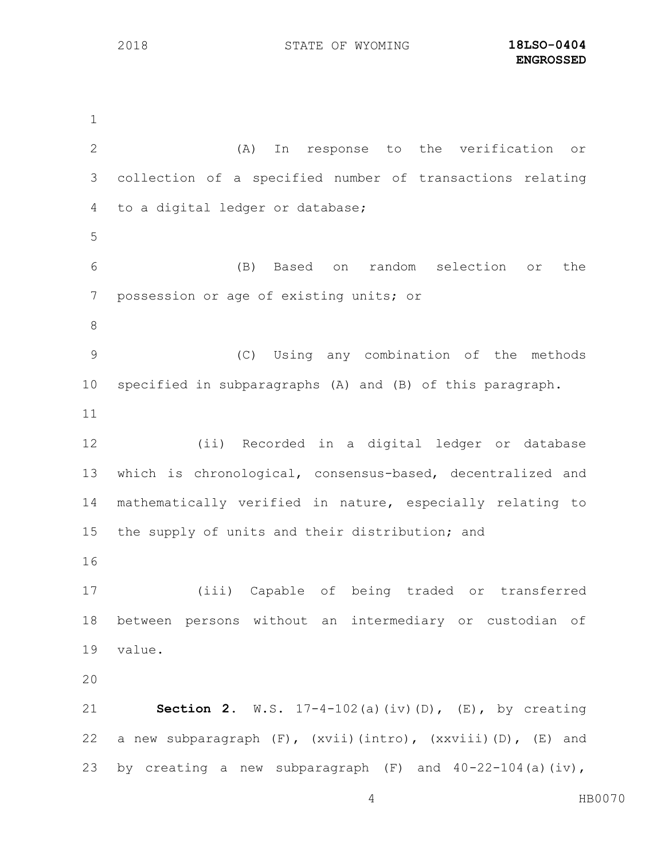(A) In response to the verification or collection of a specified number of transactions relating to a digital ledger or database; (B) Based on random selection or the possession or age of existing units; or (C) Using any combination of the methods specified in subparagraphs (A) and (B) of this paragraph. (ii) Recorded in a digital ledger or database which is chronological, consensus-based, decentralized and mathematically verified in nature, especially relating to 15 the supply of units and their distribution; and (iii) Capable of being traded or transferred between persons without an intermediary or custodian of value. **Section 2.** W.S. 17-4-102(a)(iv)(D), (E), by creating a new subparagraph (F), (xvii)(intro), (xxviii)(D), (E) and 23 by creating a new subparagraph  $(F)$  and  $40-22-104$  (a) (iv),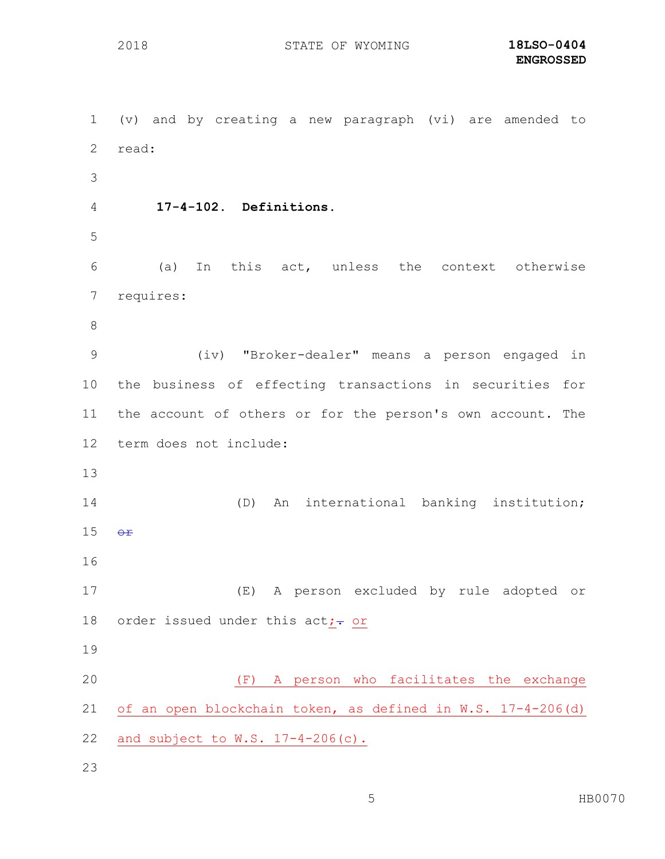(v) and by creating a new paragraph (vi) are amended to read: **17-4-102. Definitions.** (a) In this act, unless the context otherwise requires: (iv) "Broker-dealer" means a person engaged in the business of effecting transactions in securities for the account of others or for the person's own account. The term does not include: (D) An international banking institution;  $\Theta$ **r**  (E) A person excluded by rule adopted or 18 order issued under this act; $\div$  or (F) A person who facilitates the exchange of an open blockchain token, as defined in W.S. 17-4-206(d) and subject to W.S. 17-4-206(c).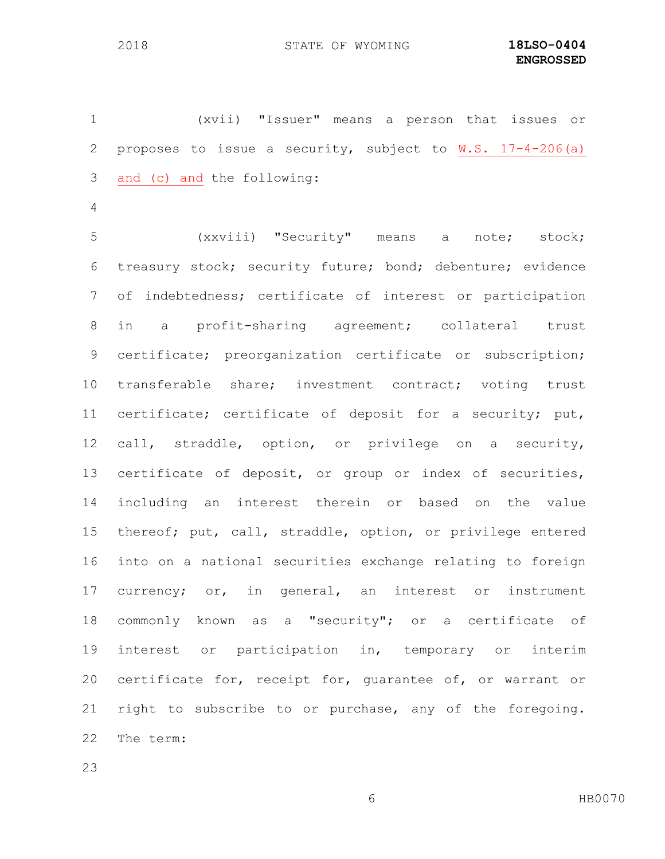(xvii) "Issuer" means a person that issues or proposes to issue a security, subject to W.S. 17-4-206(a) and (c) and the following:

 (xxviii) "Security" means a note; stock; treasury stock; security future; bond; debenture; evidence of indebtedness; certificate of interest or participation in a profit-sharing agreement; collateral trust certificate; preorganization certificate or subscription; transferable share; investment contract; voting trust certificate; certificate of deposit for a security; put, call, straddle, option, or privilege on a security, certificate of deposit, or group or index of securities, including an interest therein or based on the value thereof; put, call, straddle, option, or privilege entered into on a national securities exchange relating to foreign currency; or, in general, an interest or instrument commonly known as a "security"; or a certificate of interest or participation in, temporary or interim certificate for, receipt for, guarantee of, or warrant or right to subscribe to or purchase, any of the foregoing. The term: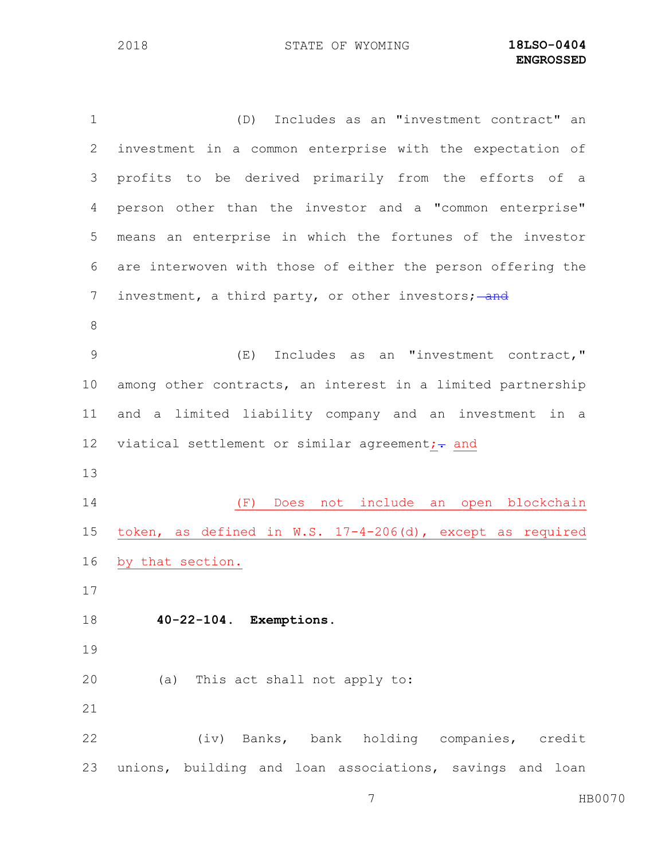(D) Includes as an "investment contract" an investment in a common enterprise with the expectation of profits to be derived primarily from the efforts of a person other than the investor and a "common enterprise" means an enterprise in which the fortunes of the investor are interwoven with those of either the person offering the 7 investment, a third party, or other investors; and (E) Includes as an "investment contract," among other contracts, an interest in a limited partnership and a limited liability company and an investment in a 12 viatical settlement or similar agreement; $\div$  and (F) Does not include an open blockchain token, as defined in W.S. 17-4-206(d), except as required by that section. **40-22-104. Exemptions.** (a) This act shall not apply to: (iv) Banks, bank holding companies, credit unions, building and loan associations, savings and loan

HB0070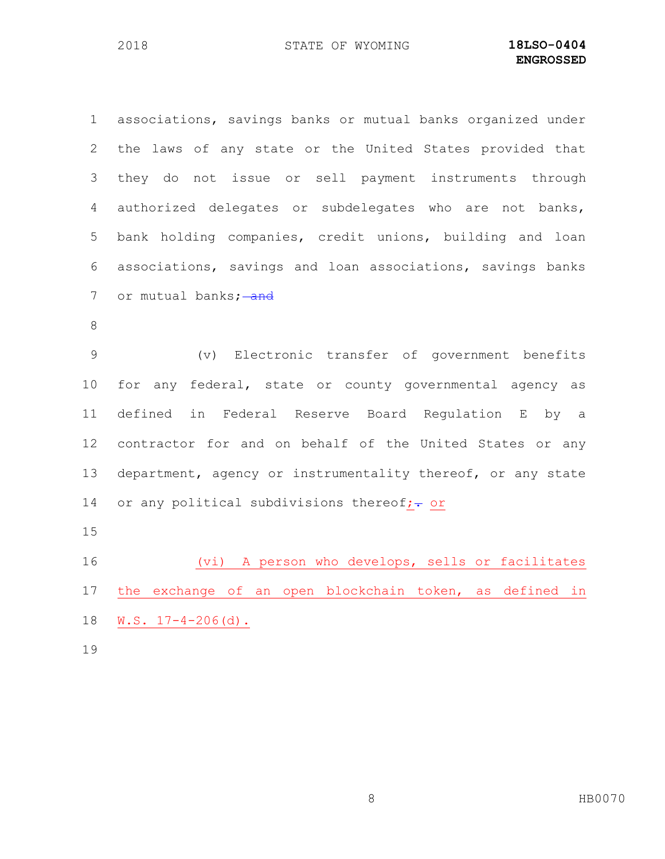associations, savings banks or mutual banks organized under the laws of any state or the United States provided that they do not issue or sell payment instruments through authorized delegates or subdelegates who are not banks, bank holding companies, credit unions, building and loan associations, savings and loan associations, savings banks 7 or mutual banks; and (v) Electronic transfer of government benefits for any federal, state or county governmental agency as defined in Federal Reserve Board Regulation E by a contractor for and on behalf of the United States or any department, agency or instrumentality thereof, or any state 14 or any political subdivisions thereof; $\div$  or (vi) A person who develops, sells or facilitates the exchange of an open blockchain token, as defined in W.S. 17-4-206(d). 

8 HB0070